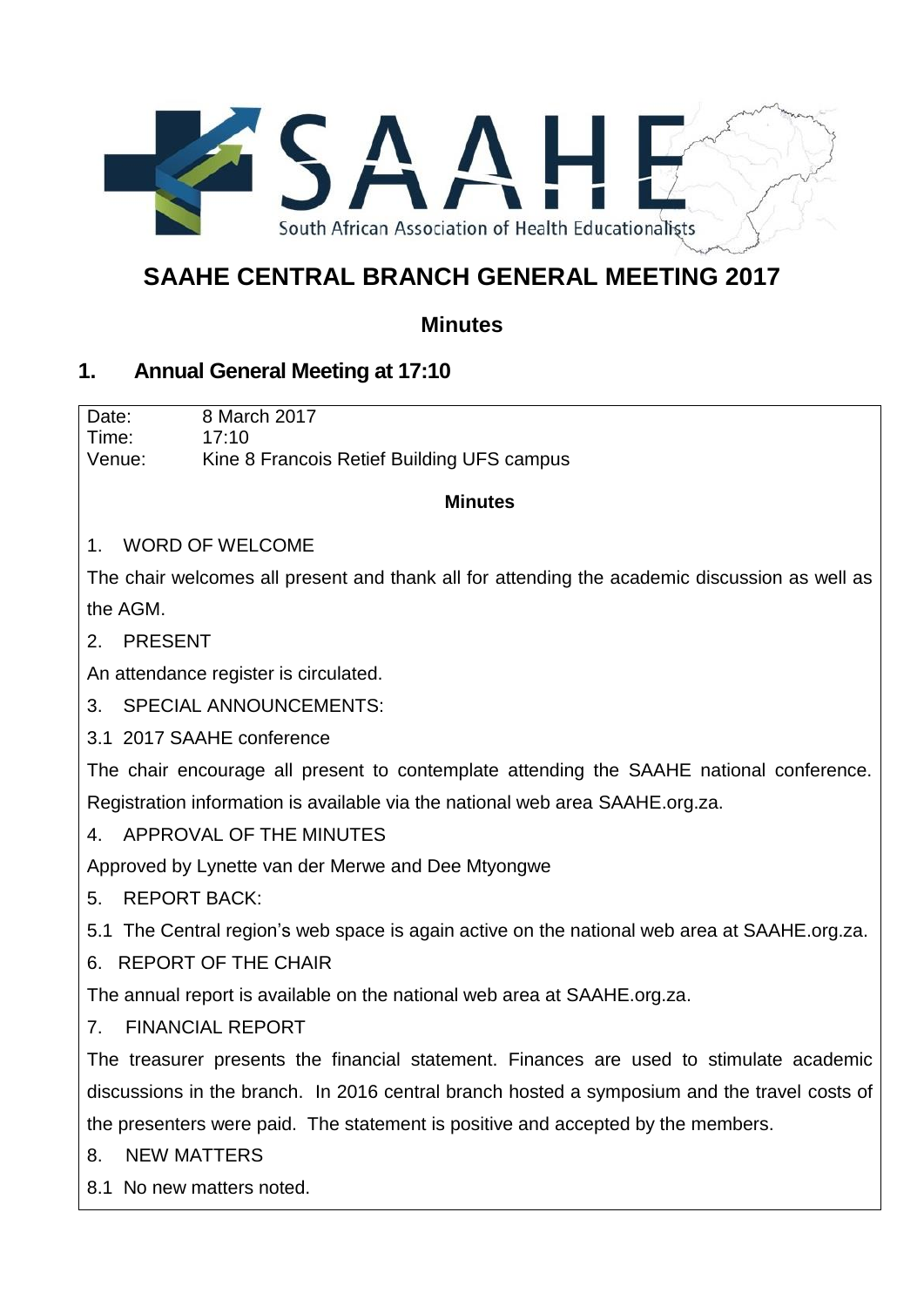

# **SAAHE CENTRAL BRANCH GENERAL MEETING 2017**

## **Minutes**

### **1. Annual General Meeting at 17:10**

Date: 8 March 2017 Time: 17:10 Venue: Kine 8 Francois Retief Building UFS campus

#### **Minutes**

#### 1. WORD OF WELCOME

The chair welcomes all present and thank all for attending the academic discussion as well as the AGM.

2. PRESENT

An attendance register is circulated.

3. SPECIAL ANNOUNCEMENTS:

3.1 2017 SAAHE conference

The chair encourage all present to contemplate attending the SAAHE national conference. Registration information is available via the national web area SAAHE.org.za.

4. APPROVAL OF THE MINUTES

Approved by Lynette van der Merwe and Dee Mtyongwe

5. REPORT BACK:

5.1 The Central region's web space is again active on the national web area at SAAHE.org.za.

6. REPORT OF THE CHAIR

The annual report is available on the national web area at SAAHE.org.za.

7. FINANCIAL REPORT

The treasurer presents the financial statement. Finances are used to stimulate academic discussions in the branch. In 2016 central branch hosted a symposium and the travel costs of the presenters were paid. The statement is positive and accepted by the members.

- 8. NEW MATTERS
- 8.1 No new matters noted.